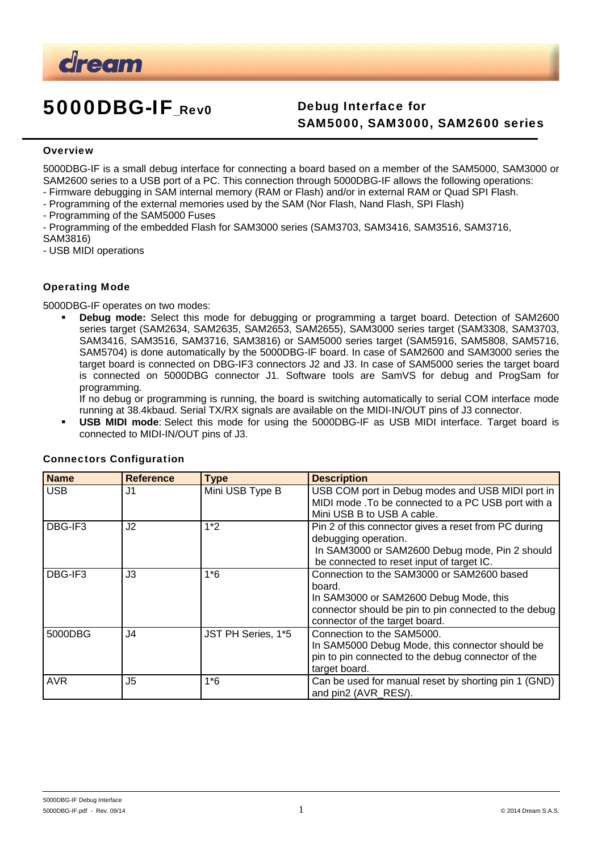

# 5000DBG-IF\_Rev0 Debug Interface for

# SAM5000, SAM3000, SAM2600 series

#### **Overview**

5000DBG-IF is a small debug interface for connecting a board based on a member of the SAM5000, SAM3000 or SAM2600 series to a USB port of a PC. This connection through 5000DBG-IF allows the following operations:

- Firmware debugging in SAM internal memory (RAM or Flash) and/or in external RAM or Quad SPI Flash.

- Programming of the external memories used by the SAM (Nor Flash, Nand Flash, SPI Flash)
- Programming of the SAM5000 Fuses
- Programming of the embedded Flash for SAM3000 series (SAM3703, SAM3416, SAM3516, SAM3716, SAM3816)

- USB MIDI operations

#### Operating Mode

5000DBG-IF operates on two modes:

 **Debug mode:** Select this mode for debugging or programming a target board. Detection of SAM2600 series target (SAM2634, SAM2635, SAM2653, SAM2655), SAM3000 series target (SAM3308, SAM3703, SAM3416, SAM3516, SAM3716, SAM3816) or SAM5000 series target (SAM5916, SAM5808, SAM5716, SAM5704) is done automatically by the 5000DBG-IF board. In case of SAM2600 and SAM3000 series the target board is connected on DBG-IF3 connectors J2 and J3. In case of SAM5000 series the target board is connected on 5000DBG connector J1. Software tools are SamVS for debug and ProgSam for programming.

If no debug or programming is running, the board is switching automatically to serial COM interface mode running at 38.4kbaud. Serial TX/RX signals are available on the MIDI-IN/OUT pins of J3 connector.

 **USB MIDI mode**: Select this mode for using the 5000DBG-IF as USB MIDI interface. Target board is connected to MIDI-IN/OUT pins of J3.

| <b>Name</b> | <b>Reference</b> | <b>Type</b>        | <b>Description</b>                                                                                                                                                                        |  |
|-------------|------------------|--------------------|-------------------------------------------------------------------------------------------------------------------------------------------------------------------------------------------|--|
| <b>USB</b>  | J1               | Mini USB Type B    | USB COM port in Debug modes and USB MIDI port in<br>MIDI mode .To be connected to a PC USB port with a<br>Mini USB B to USB A cable.                                                      |  |
| DBG-IF3     | J2               | $1*2$              | Pin 2 of this connector gives a reset from PC during<br>debugging operation.<br>In SAM3000 or SAM2600 Debug mode, Pin 2 should<br>be connected to reset input of target IC.               |  |
| DBG-IF3     | J3               | $1*6$              | Connection to the SAM3000 or SAM2600 based<br>board.<br>In SAM3000 or SAM2600 Debug Mode, this<br>connector should be pin to pin connected to the debug<br>connector of the target board. |  |
| 5000DBG     | J4               | JST PH Series, 1*5 | Connection to the SAM5000.<br>In SAM5000 Debug Mode, this connector should be<br>pin to pin connected to the debug connector of the<br>target board.                                      |  |
| <b>AVR</b>  | J5               | $1*6$              | Can be used for manual reset by shorting pin 1 (GND)<br>and pin2 (AVR RES/).                                                                                                              |  |

#### Connectors Configuration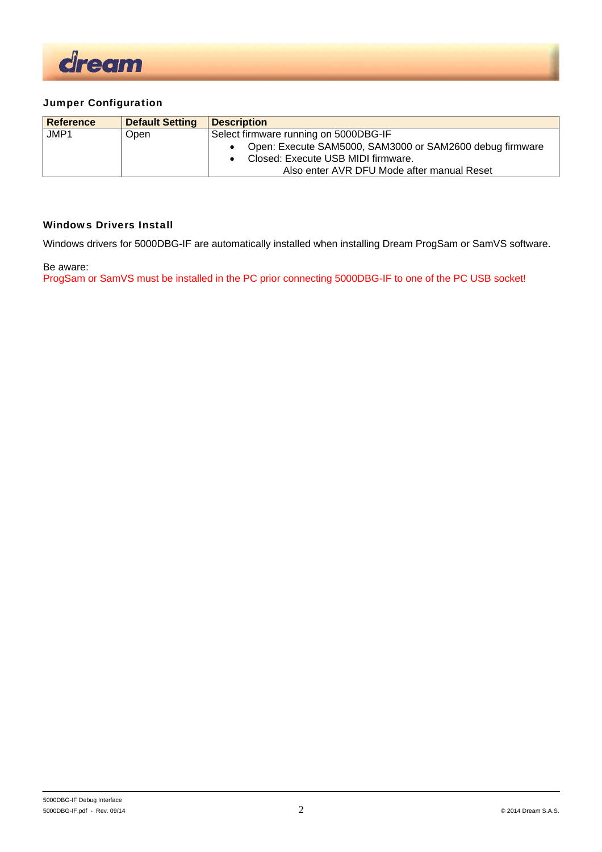

### Jumper Configuration

| <b>Reference</b> | <b>Default Setting</b> | <b>Description</b>                                       |  |  |
|------------------|------------------------|----------------------------------------------------------|--|--|
| JMP1             | Open                   | Select firmware running on 5000DBG-IF                    |  |  |
|                  |                        | Open: Execute SAM5000, SAM3000 or SAM2600 debug firmware |  |  |
|                  |                        | Closed: Execute USB MIDI firmware.                       |  |  |
|                  |                        | Also enter AVR DFU Mode after manual Reset               |  |  |

#### Windows Drivers Install

Windows drivers for 5000DBG-IF are automatically installed when installing Dream ProgSam or SamVS software.

Be aware:

ProgSam or SamVS must be installed in the PC prior connecting 5000DBG-IF to one of the PC USB socket!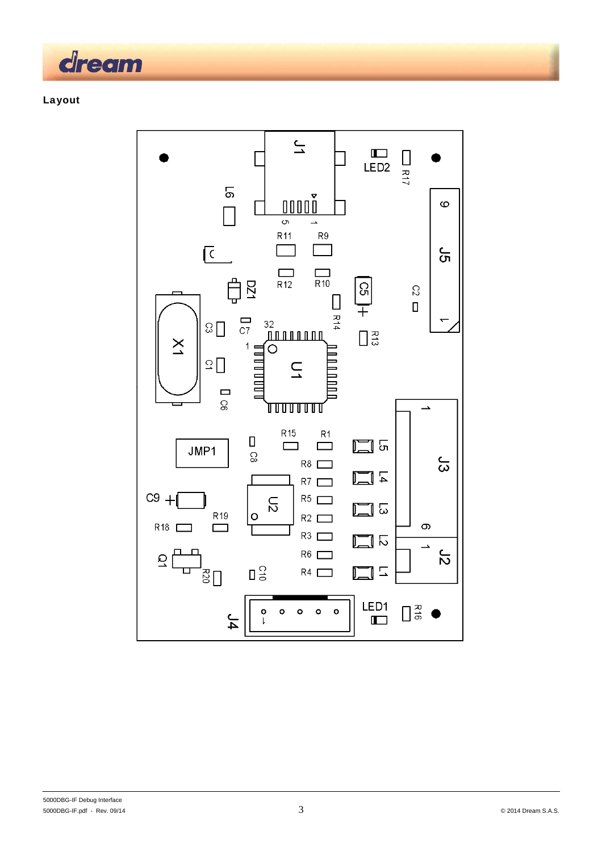

## Layout

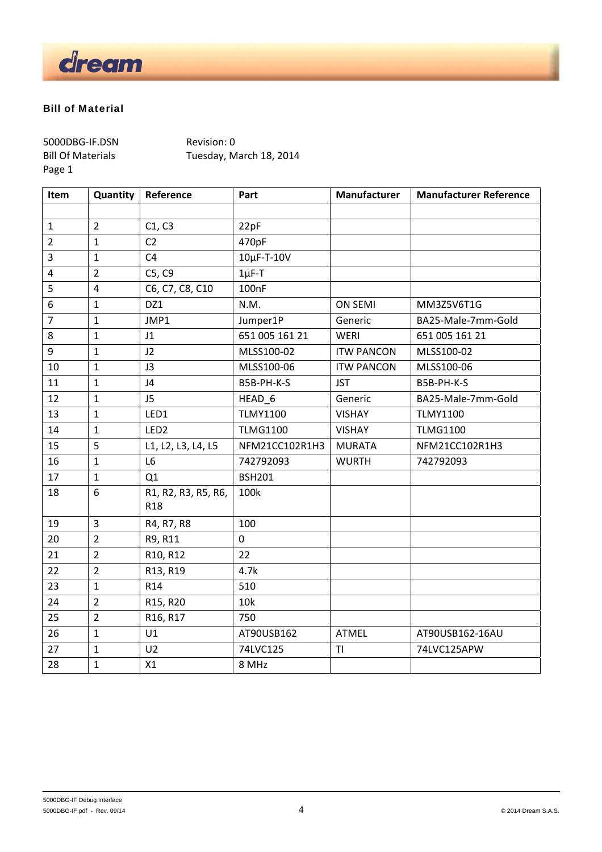

#### Bill of Material

5000DBG‐IF.DSN Revision: 0 Page 1

Bill Of Materials Tuesday, March 18, 2014

| Item           | Quantity       | Reference                              | Part               | Manufacturer      | <b>Manufacturer Reference</b> |
|----------------|----------------|----------------------------------------|--------------------|-------------------|-------------------------------|
|                |                |                                        |                    |                   |                               |
| $\mathbf{1}$   | $\overline{2}$ | C1, C3                                 | 22pF               |                   |                               |
| $\overline{2}$ | $\mathbf{1}$   | C <sub>2</sub>                         | 470pF              |                   |                               |
| 3              | $\mathbf{1}$   | C <sub>4</sub>                         | $10\mu$ F-T- $10V$ |                   |                               |
| 4              | $\overline{2}$ | C5, C9                                 | $1\mu$ F-T         |                   |                               |
| 5              | $\overline{4}$ | C6, C7, C8, C10                        | 100nF              |                   |                               |
| 6              | $\mathbf{1}$   | DZ1                                    | N.M.               | <b>ON SEMI</b>    | MM3Z5V6T1G                    |
| $\overline{7}$ | $\mathbf{1}$   | JMP1                                   | Jumper1P           | Generic           | BA25-Male-7mm-Gold            |
| 8              | $\mathbf{1}$   | J1                                     | 651 005 161 21     | WERI              | 651 005 161 21                |
| 9              | $\mathbf{1}$   | J2                                     | MLSS100-02         | <b>ITW PANCON</b> | MLSS100-02                    |
| 10             | $\mathbf{1}$   | J3                                     | MLSS100-06         | <b>ITW PANCON</b> | MLSS100-06                    |
| 11             | $\mathbf{1}$   | J4                                     | B5B-PH-K-S         | <b>JST</b>        | B5B-PH-K-S                    |
| 12             | $\mathbf{1}$   | J <sub>5</sub>                         | HEAD <sub>6</sub>  | Generic           | BA25-Male-7mm-Gold            |
| 13             | $\mathbf{1}$   | LED1                                   | <b>TLMY1100</b>    | <b>VISHAY</b>     | <b>TLMY1100</b>               |
| 14             | $\mathbf{1}$   | LED <sub>2</sub>                       | <b>TLMG1100</b>    | <b>VISHAY</b>     | <b>TLMG1100</b>               |
| 15             | 5              | L1, L2, L3, L4, L5                     | NFM21CC102R1H3     | <b>MURATA</b>     | NFM21CC102R1H3                |
| 16             | $\mathbf{1}$   | L6                                     | 742792093          | <b>WURTH</b>      | 742792093                     |
| 17             | $\mathbf{1}$   | Q1                                     | <b>BSH201</b>      |                   |                               |
| 18             | 6              | R1, R2, R3, R5, R6,<br>R <sub>18</sub> | 100k               |                   |                               |
| 19             | $\overline{3}$ | R4, R7, R8                             | 100                |                   |                               |
| 20             | $\overline{2}$ | R9, R11                                | $\mathbf 0$        |                   |                               |
| 21             | $\overline{2}$ | R10, R12                               | 22                 |                   |                               |
| 22             | $\overline{2}$ | R13, R19                               | 4.7k               |                   |                               |
| 23             | $\mathbf{1}$   | R14                                    | 510                |                   |                               |
| 24             | $\overline{2}$ | R15, R20                               | 10k                |                   |                               |
| 25             | $\overline{2}$ | R16, R17                               | 750                |                   |                               |
| 26             | $\mathbf{1}$   | U1                                     | AT90USB162         | <b>ATMEL</b>      | AT90USB162-16AU               |
| 27             | $\mathbf{1}$   | U <sub>2</sub>                         | 74LVC125           | <b>TI</b>         | 74LVC125APW                   |
| 28             | $\mathbf{1}$   | X1                                     | 8 MHz              |                   |                               |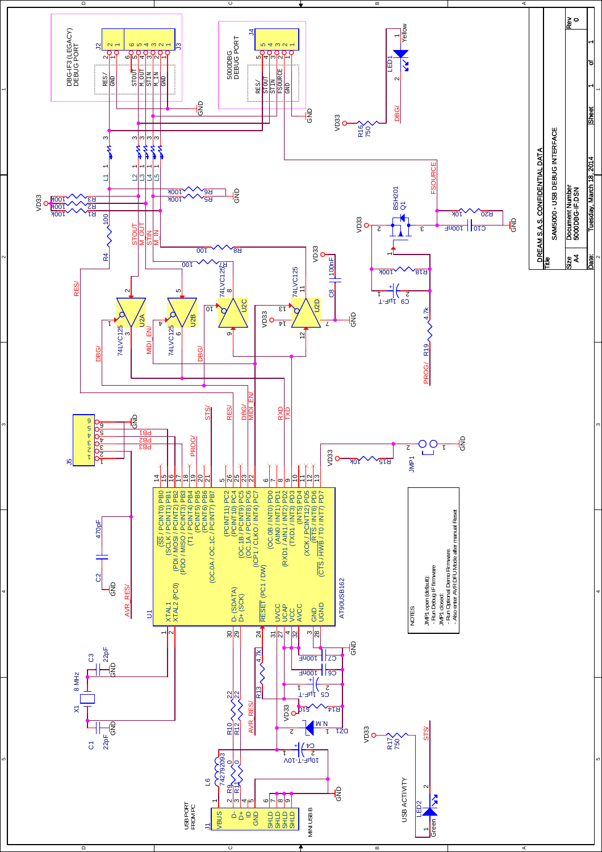